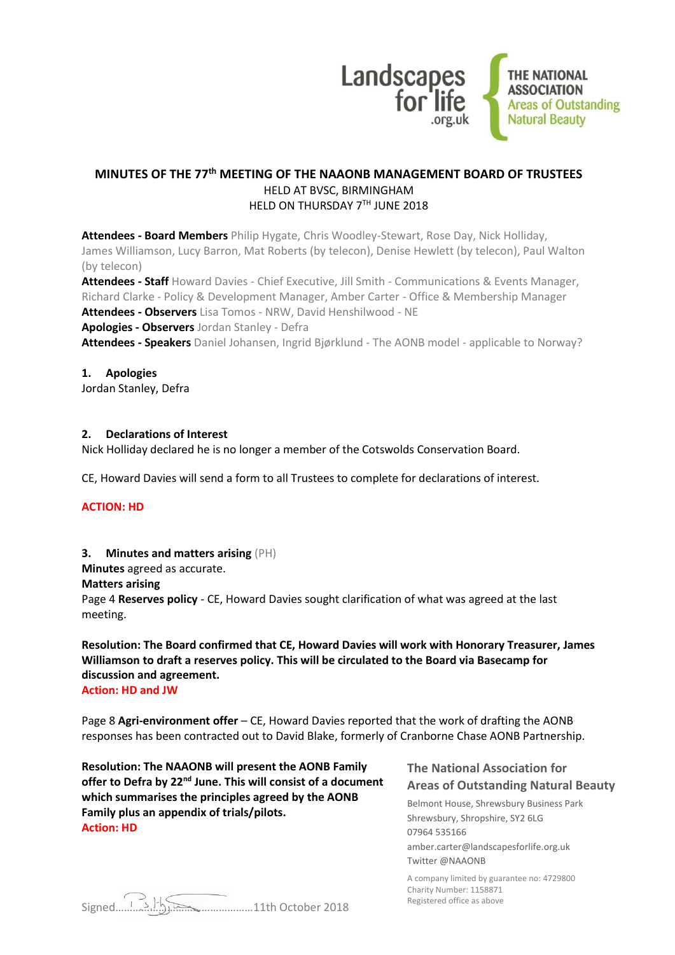

# **MINUTES OF THE 77th MEETING OF THE NAAONB MANAGEMENT BOARD OF TRUSTEES** HELD AT BVSC, BIRMINGHAM HELD ON THURSDAY 7TH JUNE 2018

**Attendees - Board Members** Philip Hygate, Chris Woodley-Stewart, Rose Day, Nick Holliday, James Williamson, Lucy Barron, Mat Roberts (by telecon), Denise Hewlett (by telecon), Paul Walton (by telecon)

**Attendees - Staff** Howard Davies - Chief Executive, Jill Smith - Communications & Events Manager, Richard Clarke - Policy & Development Manager, Amber Carter - Office & Membership Manager **Attendees - Observers** Lisa Tomos - NRW, David Henshilwood - NE

**Apologies - Observers** Jordan Stanley - Defra

**Attendees - Speakers** Daniel Johansen, Ingrid Bjørklund - The AONB model - applicable to Norway?

#### **1. Apologies**

Jordan Stanley, Defra

#### **2. Declarations of Interest**

Nick Holliday declared he is no longer a member of the Cotswolds Conservation Board.

CE, Howard Davies will send a form to all Trustees to complete for declarations of interest.

#### **ACTION: HD**

#### **3. Minutes and matters arising** (PH)

**Minutes** agreed as accurate.

**Matters arising**

Page 4 **Reserves policy** - CE, Howard Davies sought clarification of what was agreed at the last meeting.

# **Resolution: The Board confirmed that CE, Howard Davies will work with Honorary Treasurer, James Williamson to draft a reserves policy. This will be circulated to the Board via Basecamp for discussion and agreement.**

**Action: HD and JW**

Page 8 **Agri-environment offer** – CE, Howard Davies reported that the work of drafting the AONB responses has been contracted out to David Blake, formerly of Cranborne Chase AONB Partnership.

**Resolution: The NAAONB will present the AONB Family offer to Defra by 22nd June. This will consist of a document which summarises the principles agreed by the AONB Family plus an appendix of trials/pilots. Action: HD**

# **The National Association for Areas of Outstanding Natural Beauty**

Belmont House, Shrewsbury Business Park Shrewsbury, Shropshire, SY2 6LG 07964 535166 amber.carter@landscapesforlife.org.uk Twitter @NAAONB

A company limited by guarantee no: 4729800 Charity Number: 1158871 Registered office as above

Signed…………………………………………11th October 2018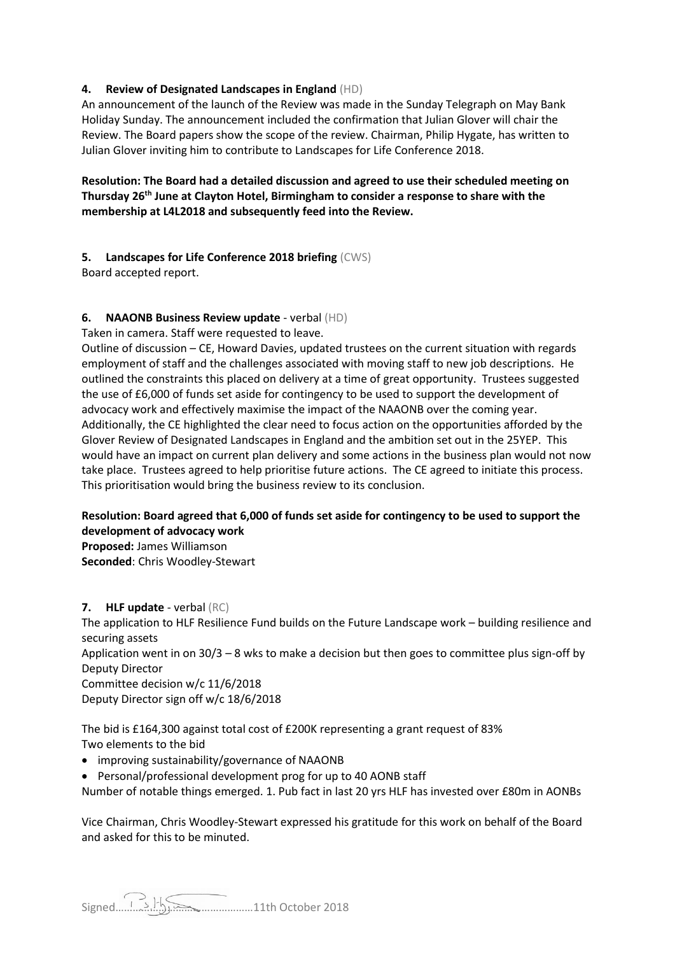# **4. Review of Designated Landscapes in England** (HD)

An announcement of the launch of the Review was made in the Sunday Telegraph on May Bank Holiday Sunday. The announcement included the confirmation that Julian Glover will chair the Review. The Board papers show the scope of the review. Chairman, Philip Hygate, has written to Julian Glover inviting him to contribute to Landscapes for Life Conference 2018.

# **Resolution: The Board had a detailed discussion and agreed to use their scheduled meeting on Thursday 26th June at Clayton Hotel, Birmingham to consider a response to share with the membership at L4L2018 and subsequently feed into the Review.**

## **5. Landscapes for Life Conference 2018 briefing** (CWS)

Board accepted report.

## **6. NAAONB Business Review update** - verbal (HD)

Taken in camera. Staff were requested to leave.

Outline of discussion – CE, Howard Davies, updated trustees on the current situation with regards employment of staff and the challenges associated with moving staff to new job descriptions. He outlined the constraints this placed on delivery at a time of great opportunity. Trustees suggested the use of £6,000 of funds set aside for contingency to be used to support the development of advocacy work and effectively maximise the impact of the NAAONB over the coming year. Additionally, the CE highlighted the clear need to focus action on the opportunities afforded by the Glover Review of Designated Landscapes in England and the ambition set out in the 25YEP. This would have an impact on current plan delivery and some actions in the business plan would not now take place. Trustees agreed to help prioritise future actions. The CE agreed to initiate this process. This prioritisation would bring the business review to its conclusion.

# **Resolution: Board agreed that 6,000 of funds set aside for contingency to be used to support the development of advocacy work**

**Proposed:** James Williamson **Seconded**: Chris Woodley-Stewart

#### **7. HLF update** - verbal (RC)

The application to HLF Resilience Fund builds on the Future Landscape work – building resilience and securing assets

Application went in on 30/3 – 8 wks to make a decision but then goes to committee plus sign-off by Deputy Director

Committee decision w/c 11/6/2018 Deputy Director sign off w/c 18/6/2018

The bid is £164,300 against total cost of £200K representing a grant request of 83% Two elements to the bid

- improving sustainability/governance of NAAONB
- Personal/professional development prog for up to 40 AONB staff
- Number of notable things emerged. 1. Pub fact in last 20 yrs HLF has invested over £80m in AONBs

Vice Chairman, Chris Woodley-Stewart expressed his gratitude for this work on behalf of the Board and asked for this to be minuted.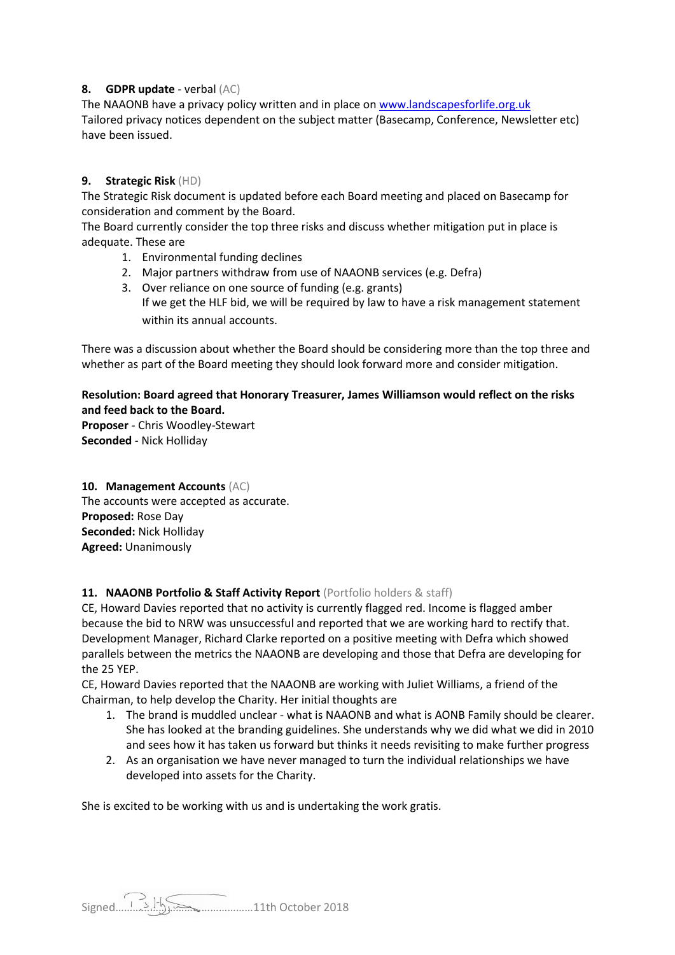# **8. GDPR update** - verbal (AC)

The NAAONB have a privacy policy written and in place o[n www.landscapesforlife.org.uk](http://www.landscapesforlife.org.uk/) Tailored privacy notices dependent on the subject matter (Basecamp, Conference, Newsletter etc) have been issued.

# **9. Strategic Risk** (HD)

The Strategic Risk document is updated before each Board meeting and placed on Basecamp for consideration and comment by the Board.

The Board currently consider the top three risks and discuss whether mitigation put in place is adequate. These are

- 1. Environmental funding declines
- 2. Major partners withdraw from use of NAAONB services (e.g. Defra)
- 3. Over reliance on one source of funding (e.g. grants) If we get the HLF bid, we will be required by law to have a risk management statement within its annual accounts.

There was a discussion about whether the Board should be considering more than the top three and whether as part of the Board meeting they should look forward more and consider mitigation.

# **Resolution: Board agreed that Honorary Treasurer, James Williamson would reflect on the risks and feed back to the Board.**

**Proposer** - Chris Woodley-Stewart **Seconded** - Nick Holliday

# **10. Management Accounts** (AC)

The accounts were accepted as accurate. **Proposed:** Rose Day **Seconded:** Nick Holliday **Agreed:** Unanimously

# 11. **NAAONB Portfolio & Staff Activity Report** (Portfolio holders & staff)

CE, Howard Davies reported that no activity is currently flagged red. Income is flagged amber because the bid to NRW was unsuccessful and reported that we are working hard to rectify that. Development Manager, Richard Clarke reported on a positive meeting with Defra which showed parallels between the metrics the NAAONB are developing and those that Defra are developing for the 25 YEP.

CE, Howard Davies reported that the NAAONB are working with Juliet Williams, a friend of the Chairman, to help develop the Charity. Her initial thoughts are

- 1. The brand is muddled unclear what is NAAONB and what is AONB Family should be clearer. She has looked at the branding guidelines. She understands why we did what we did in 2010 and sees how it has taken us forward but thinks it needs revisiting to make further progress
- 2. As an organisation we have never managed to turn the individual relationships we have developed into assets for the Charity.

She is excited to be working with us and is undertaking the work gratis.